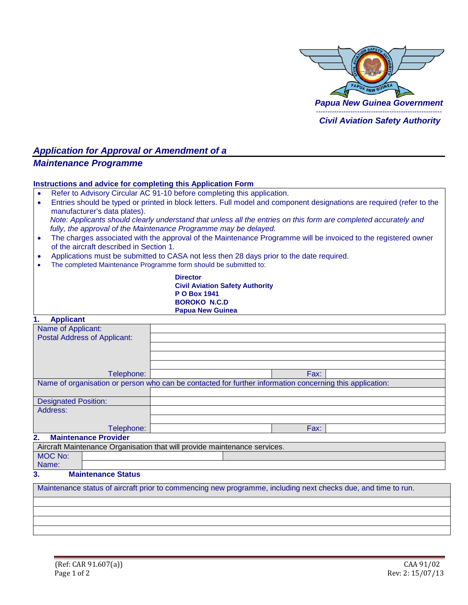

# *Application for Approval or Amendment of a*

## *Maintenance Programme*

#### **Instructions and advice for completing this Application Form**

- Refer to Advisory Circular AC 91-10 before completing this application.
- Entries should be typed or printed in block letters. Full model and component designations are required (refer to the manufacturer's data plates). *Note: Applicants should clearly understand that unless all the entries on this form are completed accurately and fully, the approval of the Maintenance Programme may be delayed.*
- The charges associated with the approval of the Maintenance Programme will be invoiced to the registered owner of the aircraft described in Section 1.
- Applications must be submitted to CASA not less then 28 days prior to the date required.
- The completed Maintenance Programme form should be submitted to:

**Director Civil Aviation Safety Authority P O Box 1941 BOROKO N.C.D Papua New Guinea**

#### **1. Applicant**

| <b>Applicatio</b>                                                                                             |                                                                           |  |  |  |  |
|---------------------------------------------------------------------------------------------------------------|---------------------------------------------------------------------------|--|--|--|--|
| Name of Applicant:                                                                                            |                                                                           |  |  |  |  |
| <b>Postal Address of Applicant:</b>                                                                           |                                                                           |  |  |  |  |
|                                                                                                               |                                                                           |  |  |  |  |
|                                                                                                               |                                                                           |  |  |  |  |
|                                                                                                               |                                                                           |  |  |  |  |
| Telephone:                                                                                                    | Fax:                                                                      |  |  |  |  |
| Name of organisation or person who can be contacted for further information concerning this application:      |                                                                           |  |  |  |  |
|                                                                                                               |                                                                           |  |  |  |  |
| <b>Designated Position:</b>                                                                                   |                                                                           |  |  |  |  |
| Address:                                                                                                      |                                                                           |  |  |  |  |
|                                                                                                               |                                                                           |  |  |  |  |
| Telephone:                                                                                                    | Fax:                                                                      |  |  |  |  |
| 2.<br><b>Maintenance Provider</b>                                                                             |                                                                           |  |  |  |  |
|                                                                                                               | Aircraft Maintenance Organisation that will provide maintenance services. |  |  |  |  |
| <b>MOC No:</b>                                                                                                |                                                                           |  |  |  |  |
| Name:                                                                                                         |                                                                           |  |  |  |  |
| <b>Maintenance Status</b><br>3.                                                                               |                                                                           |  |  |  |  |
| Maintenance status of aircraft prior to commencing new programme, including next checks due, and time to run. |                                                                           |  |  |  |  |